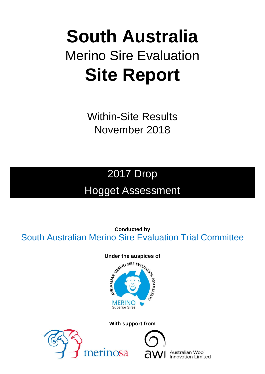# **South Australia** Merino Sire Evaluation **Site Report**

Within-Site Results November 2018

## 2017 Drop Hogget Assessment

**Conducted by** South Australian Merino Sire Evaluation Trial Committee

## Under the auspices of<br>
surveyor SIRE EVALUATION **POILTIDOSSY MERINO Superior Sires**

## **With support from**





Australian Wool **Innovation Limited**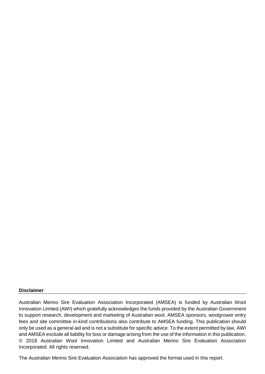#### **Disclaimer**

Australian Merino Sire Evaluation Association Incorporated (AMSEA) is funded by Australian Wool Innovation Limited (AWI) which gratefully acknowledges the funds provided by the Australian Government to support research, development and marketing of Australian wool. AMSEA sponsors, woolgrower entry fees and site committee in-kind contributions also contribute to AMSEA funding. This publication should only be used as a general aid and is not a substitute for specific advice. To the extent permitted by law, AWI and AMSEA exclude all liability for loss or damage arising from the use of the information in this publication. © 2018 Australian Wool Innovation Limited and Australian Merino Sire Evaluation Association Incorporated. All rights reserved.

The Australian Merino Sire Evaluation Association has approved the format used in this report.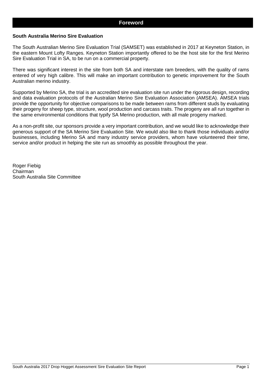#### **South Australia Merino Sire Evaluation**

The South Australian Merino Sire Evaluation Trial (SAMSET) was established in 2017 at Keyneton Station, in the eastern Mount Lofty Ranges. Keyneton Station importantly offered to be the host site for the first Merino Sire Evaluation Trial in SA, to be run on a commercial property.

There was significant interest in the site from both SA and interstate ram breeders, with the quality of rams entered of very high calibre. This will make an important contribution to genetic improvement for the South Australian merino industry.

Supported by Merino SA, the trial is an accredited sire evaluation site run under the rigorous design, recording and data evaluation protocols of the Australian Merino Sire Evaluation Association (AMSEA). AMSEA trials provide the opportunity for objective comparisons to be made between rams from different studs by evaluating their progeny for sheep type, structure, wool production and carcass traits. The progeny are all run together in the same environmental conditions that typify SA Merino production, with all male progeny marked.

As a non-profit site, our sponsors provide a very important contribution, and we would like to acknowledge their generous support of the SA Merino Sire Evaluation Site. We would also like to thank those individuals and/or businesses, including Merino SA and many industry service providers, whom have volunteered their time, service and/or product in helping the site run as smoothly as possible throughout the year.

Roger Fiebig Chairman South Australia Site Committee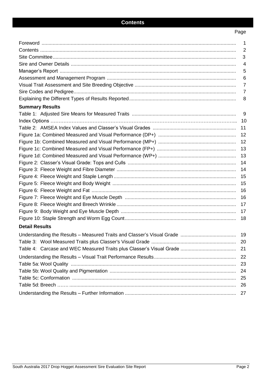## Page

|                        | $\mathbf{1}$   |
|------------------------|----------------|
|                        | $\overline{2}$ |
|                        | 3              |
|                        | $\overline{4}$ |
|                        | 5              |
|                        | 6              |
|                        | $\overline{7}$ |
|                        | $\overline{7}$ |
|                        | 8              |
| <b>Summary Results</b> |                |
|                        | 9              |
|                        | 10             |
|                        | 11             |
|                        |                |
|                        |                |
|                        |                |
|                        |                |
|                        |                |
|                        |                |
|                        |                |
|                        |                |
|                        |                |
|                        |                |
|                        |                |
|                        |                |
|                        | 18             |
| <b>Detail Results</b>  |                |
|                        |                |
|                        | 20             |
|                        | 21             |
|                        | 22             |
|                        | 23             |
|                        | 24             |
|                        | 25             |
|                        | 26             |
|                        | 27             |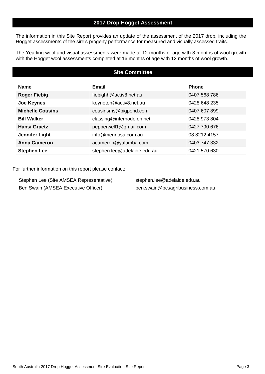## **2017 Drop Hogget Assessment**

The information in this Site Report provides an update of the assessment of the 2017 drop, including the Hogget assessments of the sire's progeny performance for measured and visually assessed traits.

The Yearling wool and visual assessments were made at 12 months of age with 8 months of wool growth with the Hogget wool assessments completed at 16 months of age with 12 months of wool growth.

## **Site Committee**

| <b>Name</b>             | <b>Email</b>                | <b>Phone</b> |
|-------------------------|-----------------------------|--------------|
| <b>Roger Fiebig</b>     | fiebighh@activ8.net.au      | 0407 568 786 |
| <b>Joe Keynes</b>       | keyneton@activ8.net.au      | 0428 648 235 |
| <b>Michelle Cousins</b> | cousinsms@bigpond.com       | 0407 607 899 |
| <b>Bill Walker</b>      | classing@internode.on.net   | 0428 973 804 |
| <b>Hansi Graetz</b>     | pepperwell1@gmail.com       | 0427 790 676 |
| <b>Jennifer Light</b>   | info@merinosa.com.au        | 08 8212 4157 |
| <b>Anna Cameron</b>     | acameron@yalumba.com        | 0403 747 332 |
| <b>Stephen Lee</b>      | stephen.lee@adelaide.edu.au | 0421 570 630 |

For further information on this report please contact:

Stephen Lee (Site AMSEA Representative) stephen.lee@adelaide.edu.au Ben Swain (AMSEA Executive Officer) ben.swain@bcsagribusiness.com.au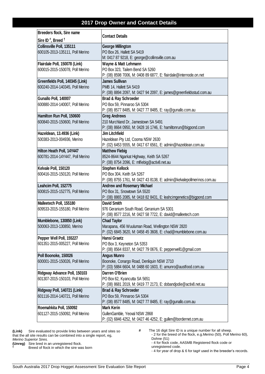## **2017 Drop Owner and Contact Details**

| Breeders flock, Sire name<br><b>Contact Details</b> |                                                                        |  |  |  |  |  |  |  |
|-----------------------------------------------------|------------------------------------------------------------------------|--|--|--|--|--|--|--|
| Sire ID <sup>#</sup> , Breed $†$                    |                                                                        |  |  |  |  |  |  |  |
| Collinsville Poll, 135111                           | <b>George Millington</b>                                               |  |  |  |  |  |  |  |
| 600105-2013-135111, Poll Merino                     | PO Box 26, Hallett SA 5419                                             |  |  |  |  |  |  |  |
|                                                     | M: 0417 87 9218, E: george@collinsville.com.au                         |  |  |  |  |  |  |  |
| Flairdale Poll, 150078 (Link)                       | Wayne & Matt Lehmann                                                   |  |  |  |  |  |  |  |
| 600015-2015-150078, Poll Merino                     | PO Box 323, Tailem Bend SA 5260                                        |  |  |  |  |  |  |  |
|                                                     | P: (08) 8598 7006, M: 0408 89 6877, E: flairdale@internode.on.net      |  |  |  |  |  |  |  |
| Greenfields Poll, 140345 (Link)                     | <b>James Sullivan</b>                                                  |  |  |  |  |  |  |  |
| 600240-2014-140345, Poll Merino                     | PMB 14, Hallett SA 5419                                                |  |  |  |  |  |  |  |
|                                                     | P: (08) 8894 2097, M: 0427 94 2097, E: james@greenfieldsstud.com.au    |  |  |  |  |  |  |  |
| Gunallo Poll, 140007                                | Brad & Ray Schroeder                                                   |  |  |  |  |  |  |  |
| 600880-2014-140007, Poll Merino                     | PO Box 59, Pinnaroo SA 5304                                            |  |  |  |  |  |  |  |
|                                                     | P: (08) 8577 8485, M: 0427 77 8485, E: ray @gunallo.com.au             |  |  |  |  |  |  |  |
| Hamilton Run Poll, 150600                           | <b>Greg Andrews</b>                                                    |  |  |  |  |  |  |  |
| 600840-2015-150600, Poll Merino                     | 210 Murchland Dr, Jamestown SA 5491                                    |  |  |  |  |  |  |  |
|                                                     | P: (08) 8664 0950, M: 0428 16 1746, E: hamiltonrun@bigpond.com         |  |  |  |  |  |  |  |
| Hazeldean, 13.4936 (Link)                           | <b>Jim Litchfield</b>                                                  |  |  |  |  |  |  |  |
| 500383-2013-004936, Merino                          | Hazeldean Pty Ltd, Cooma NSW 2630                                      |  |  |  |  |  |  |  |
|                                                     | P: (02) 6453 5555, M: 0417 67 6561, E: admin@hazeldean.com.au          |  |  |  |  |  |  |  |
| Hilton Heath Poll, 14Y447                           | <b>Matthew Fiebig</b>                                                  |  |  |  |  |  |  |  |
| 600781-2014-14Y447, Poll Merino                     | 8524-8644 Ngarkat Highway, Keith SA 5267                               |  |  |  |  |  |  |  |
|                                                     | P: (08) 8754 2096, E: mlfiebig@activ8.net.au                           |  |  |  |  |  |  |  |
| Kelvale Poll, 150120                                | <b>Stephen Kellock</b>                                                 |  |  |  |  |  |  |  |
| 600416-2015-150120, Poll Merino                     | PO Box 304, Keith SA 5267                                              |  |  |  |  |  |  |  |
|                                                     | P: (08) 8755 1761, M: 0427 43 8138, E: admin@kelvalepollmerinos.com.au |  |  |  |  |  |  |  |
| Leahcim Poll, 152775                                | <b>Andrew and Rosemary Michael</b>                                     |  |  |  |  |  |  |  |
| 600815-2015-152775, Poll Merino                     | PO Box 31, Snowtown SA 5520                                            |  |  |  |  |  |  |  |
|                                                     | P: (08) 8865 2085, M: 0418 82 8431, E: leahcimgenetics@bigpond.com     |  |  |  |  |  |  |  |
| Malleetech Poll, 155180                             | <b>David Smith</b>                                                     |  |  |  |  |  |  |  |
| 609533-2015-155180, Poll Merino                     | 976 Geranium South Road, Geranium SA 5301                              |  |  |  |  |  |  |  |
|                                                     | P: (08) 8577 2216, M: 0427 58 7722, E: david@malleetech.com            |  |  |  |  |  |  |  |
| Mumblebone, 130850 (Link)                           | <b>Chad Taylor</b>                                                     |  |  |  |  |  |  |  |
| 500063-2013-130850, Merino                          | Marapana, 456 Wuuluman Road, Wellington NSW 2820                       |  |  |  |  |  |  |  |
|                                                     | P: (02) 6845 3620, M: 0458 45 3608, E: chad@mumblebone.com.au          |  |  |  |  |  |  |  |
| Pepper Well Poll, 155227                            | Hansi Graetz                                                           |  |  |  |  |  |  |  |
| 601351-2015-005227, Poll Merino                     | PO Box 3, Keyneton SA 5353                                             |  |  |  |  |  |  |  |
|                                                     | P: (08) 8564 8337, M: 0427 79 0676, E: pepperwell1@gmail.com           |  |  |  |  |  |  |  |
| Poll Boonoke, 150026                                | <b>Angus Munro</b>                                                     |  |  |  |  |  |  |  |
| 600001-2015-150026, Poll Merino                     | Boonoke, Conargo Road, Denliquin NSW 2710                              |  |  |  |  |  |  |  |
|                                                     | P: (03) 5884 6604, M: 0488 60 1603, E: amunro@austfood.com.au          |  |  |  |  |  |  |  |
| Ridgway Advance Poll, 150103                        | Darren O'Brien                                                         |  |  |  |  |  |  |  |
| 601307-2015-150103, Poll Merino                     | PO Box 62, Kyancutta SA 5651                                           |  |  |  |  |  |  |  |
|                                                     | P: (08) 8681 2019, M: 0419 77 2173, E: dobandjodie@activ8.net.au       |  |  |  |  |  |  |  |
| Ridgway Poll, 140721 (Link)                         | Brad & Ray Schroeder                                                   |  |  |  |  |  |  |  |
| 601116-2014-140721, Poll Merino                     | PO Box 59, Pinnaroo SA 5304                                            |  |  |  |  |  |  |  |
|                                                     | P: (08) 8577 8485, M: 0427 77 8485, E: ray @gunallo.com.au             |  |  |  |  |  |  |  |
| Roemahkita Poll, 150092                             | <b>Mark Kerin</b>                                                      |  |  |  |  |  |  |  |
| 601127-2015-150092, Poll Merino                     | GullenGamble, Yeoval NSW 2868                                          |  |  |  |  |  |  |  |
|                                                     | P: (02) 6846 4252, M: 0427 46 4252, E: gullen@bordernet.com.au         |  |  |  |  |  |  |  |
|                                                     |                                                                        |  |  |  |  |  |  |  |

**(Link)** Sire evaluated to provide links between years and sites so that the all site results can be combined into a single report, eg, *Merino Superior Sires.*

**(Unreg)** Sire bred in an unregistered flock.<br>
Reed of flock in which the sire way

**†** Breed of flock in which the sire was born

**#** The 16 digit Sire ID is a unique number for all sheep. - 2 for the breed of the flock, e.g.Merino (50), Poll Merino 60), Dohne (51)

- 4 for flock code, AASMB Registered flock code or unregistered code.

- 4 for year of drop & 6 for tag# used in the breeder's records.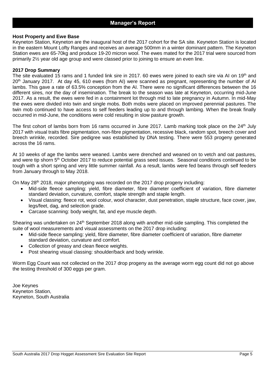#### **Host Property and Ewe Base**

Keyneton Station, Keyneton are the inaugural host of the 2017 cohort for the SA site. Keyneton Station is located in the eastern Mount Lofty Ranges and receives an average 500mm in a winter dominant pattern. The Keyneton Station ewes are 65-70kg and produce 19-20 micron wool. The ewes mated for the 2017 trial were sourced from primarily 2½ year old age group and were classed prior to joining to ensure an even line.

#### **2017 Drop Summary**

The site evaluated 15 rams and 1 funded link sire in 2017. 60 ewes were joined to each sire via AI on 19<sup>th</sup> and 20<sup>th</sup> January 2017. At day 45, 610 ewes (from AI) were scanned as pregnant, representing the number of AI lambs. This gave a rate of 63.5% conception from the AI. There were no significant differences between the 16 different sires, nor the day of insemination. The break to the season was late at Keyneton, occurring mid-June 2017. As a result, the ewes were fed in a containment lot through mid to late pregnancy in Autumn. In mid-May the ewes were divided into twin and single mobs. Both mobs were placed on improved perennial pastures. The twin mob continued to have access to self feeders leading up to and through lambing. When the break finally occurred in mid-June, the conditions were cold resulting in slow pasture growth.

The first cohort of lambs born from 16 rams occurred in June 2017. Lamb marking took place on the 24<sup>th</sup> July 2017 with visual traits fibre pigmentation, non-fibre pigmentation, recessive black, random spot, breech cover and breech wrinkle, recorded. Sire pedigree was established by DNA testing. There were 553 progeny generated across the 16 rams.

At 10 weeks of age the lambs were weaned. Lambs were drenched and weaned on to vetch and oat pastures, and were tip shorn 5<sup>th</sup> October 2017 to reduce potential grass seed issues. Seasonal conditions continued to be tough with a short spring and very little summer rainfall. As a result, lambs were fed beans through self feeders from January through to May 2018.

On May  $28<sup>th</sup>$  2018, major phenotyping was recorded on the 2017 drop progeny including:

- Mid-side fleece sampling: yield, fibre diameter, fibre diameter coefficient of variation, fibre diameter standard deviation, curvature, comfort, staple strength and staple length.
- Visual classing: fleece rot, wool colour, wool character, dust penetration, staple structure, face cover, jaw, legs/feet, dag, and selection grade.
- Carcase scanning: body weight, fat, and eye muscle depth.

Shearing was undertaken on 24<sup>th</sup> September 2018 along with another mid-side sampling. This completed the suite of wool measurements and visual assessments on the 2017 drop including:

- Mid-side fleece sampling: yield, fibre diameter, fibre diameter coefficient of variation, fibre diameter standard deviation, curvature and comfort.
- Collection of greasy and clean fleece weights.
- Post shearing visual classing: shoulder/back and body wrinkle.

Worm Egg Count was not collected on the 2017 drop progeny as the average worm egg count did not go above the testing threshold of 300 eggs per gram.

Joe Keynes Keyneton Station, Keyneton, South Australia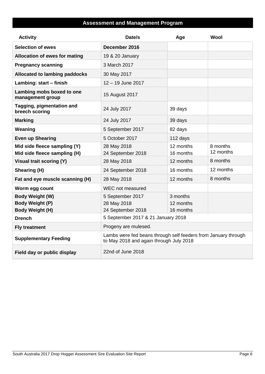## **Assessment and Management Program**

| <b>Activity</b>                                                     | Date/s                                                                                                    | Age                                | Wool                  |
|---------------------------------------------------------------------|-----------------------------------------------------------------------------------------------------------|------------------------------------|-----------------------|
| <b>Selection of ewes</b>                                            | December 2016                                                                                             |                                    |                       |
| <b>Allocation of ewes for mating</b>                                | 19 & 20 January                                                                                           |                                    |                       |
| <b>Pregnancy scanning</b>                                           | 3 March 2017                                                                                              |                                    |                       |
| <b>Allocated to lambing paddocks</b>                                | 30 May 2017                                                                                               |                                    |                       |
| Lambing: start - finish                                             | 12 - 19 June 2017                                                                                         |                                    |                       |
| Lambing mobs boxed to one<br>management group                       | 15 August 2017                                                                                            |                                    |                       |
| Tagging, pigmentation and<br>breech scoring                         | 24 July 2017                                                                                              | 39 days                            |                       |
| <b>Marking</b>                                                      | 24 July 2017                                                                                              | 39 days                            |                       |
| Weaning                                                             | 5 September 2017                                                                                          | 82 days                            |                       |
| <b>Even up Shearing</b>                                             | 5 October 2017                                                                                            | 112 days                           |                       |
| Mid side fleece sampling (Y)<br>Mid side fleece sampling (H)        | 28 May 2018<br>24 September 2018                                                                          | 12 months<br>16 months             | 8 months<br>12 months |
| Visual trait scoring (Y)                                            | 28 May 2018                                                                                               | 12 months                          | 8 months              |
| Shearing (H)                                                        | 24 September 2018                                                                                         | 16 months                          | 12 months             |
| Fat and eye muscle scanning (H)                                     | 28 May 2018                                                                                               | 12 months                          | 8 months              |
| Worm egg count                                                      | WEC not measured                                                                                          |                                    |                       |
| Body Weight (W)<br><b>Body Weight (P)</b><br><b>Body Weight (H)</b> | 5 September 2017<br>28 May 2018<br>24 September 2018                                                      | 3 months<br>12 months<br>16 months |                       |
| <b>Drench</b>                                                       | 5 September 2017 & 21 January 2018                                                                        |                                    |                       |
| <b>Fly treatment</b>                                                | Progeny are mulesed.                                                                                      |                                    |                       |
| <b>Supplementary Feeding</b>                                        | Lambs were fed beans through self feeders from January through<br>to May 2018 and again through July 2018 |                                    |                       |
| Field day or public display                                         | 22nd of June 2018                                                                                         |                                    |                       |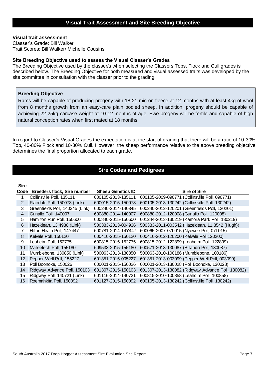#### **Visual trait assessment**

Classer's Grade: Bill Walker Trait Scores: Bill Walker/ Michelle Cousins

#### **Site Breeding Objective used to assess the Visual Classer's Grades**

The Breeding Objective used by the classer/s when selecting the Classers Tops, Flock and Cull grades is described below. The Breeding Objective for both measured and visual assessed traits was developed by the site committee in consultation with the classer prior to the grading.

#### **Breeding Objective**

Rams will be capable of producing progeny with 18-21 micron fleece at 12 months with at least 4kg of wool from 8 months growth from an easy-care plain bodied sheep. In addition, progeny should be capable of achieving 22-25kg carcase weight at 10-12 months of age. Ewe progeny will be fertile and capable of high natural conception rates when first mated at 18 months.

In regard to Classer's Visual Grades the expectation is at the start of grading that there will be a ratio of 10-30% Top, 40-80% Flock and 10-30% Cull. However, the sheep performance relative to the above breeding objective determines the final proportion allocated to each grade.

#### **Sire Codes and Pedigrees**

| <b>Sire</b> |                                    |                          |                                                   |
|-------------|------------------------------------|--------------------------|---------------------------------------------------|
| Codel       | <b>Breeders flock, Sire number</b> | <b>Sheep Genetics ID</b> | <b>Sire of Sire</b>                               |
|             | Collinsville Poll, 135111          | 600105-2013-135111       | 600105-2009-090771 (Collinsville Poll, 090771)    |
| 2           | Flairdale Poll, 150078 (Link)      | 600015-2015-150078       | 600105-2013-130242 (Collinsville Poll, 130242)    |
| 3           | Greenfields Poll, 140345 (Link)    | 600240-2014-140345       | 600240-2012-120201 (Greenfields Poll, 120201)     |
| 4           | Gunallo Poll, 140007               | 600880-2014-140007       | 600880-2012-120008 (Gunallo Poll, 120008)         |
| 5           | Hamilton Run Poll, 150600          | 600840-2015-150600       | 601244-2013-130219 (Kamora Park Poll, 130219)     |
| 6           | Hazeldean, 13.4936 (Link)          | 500383-2013-004936       | 500383-2011-003542 (Hazeldean, 11.3542 (Hugh))    |
| 7           | Hilton Heath Poll, 14Y447          | 600781-2014-14Y447       | 600065-2007-07L015 (Nyowee Poll, 07L015)          |
| 8           | Kelvale Poll, 150120               | 600416-2015-150120       | 600416-2012-120200 (Kelvale Poll 120200)          |
| 9           | Leahcim Poll, 152775               | 600815-2015-152775       | 600815-2012-122899 (Leahcim Poll, 122899)         |
| 10          | Malleetech Poll, 155180            | 609533-2015-155180       | 600571-2013-130087 (Billandri Poll, 130087)       |
| 11          | Mumblebone, 130850 (Link)          | 500063-2013-130850       | 500063-2010-100186 (Mumblebone, 100186)           |
| 12          | Pepper Well Poll, 155227           | 601351-2015-005227       | 601351-2013-003099 (Pepper Well Poll, 003099)     |
| 13          | Poll Boonoke, 150026               | 600001-2015-150026       | 600001-2013-130028 (Poll Boonoke, 130028)         |
| 14          | Ridgway Advance Poll, 150103       | 601307-2015-150103       | 601307-2013-130082 (Ridgway Advance Poll, 130082) |
| 15          | Ridgway Poll, 140721 (Link)        | 601116-2014-140721       | 600815-2010-100858 (Leahcim Poll, 100858)         |
| 16          | Roemahkita Poll, 150092            | 601127-2015-150092       | 600105-2013-130242 (Collinsville Poll, 130242)    |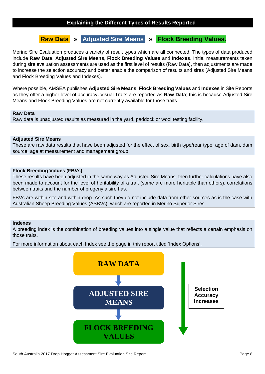## **Raw Data » Adjusted Sire Means » Flock Breeding Values.**

Merino Sire Evaluation produces a variety of result types which are all connected. The types of data produced include **Raw Data**, **Adjusted Sire Means**, **Flock Breeding Values** and **Indexes**. Initial measurements taken during sire evaluation assessments are used as the first level of results (Raw Data), then adjustments are made to increase the selection accuracy and better enable the comparison of results and sires (Adjusted Sire Means and Flock Breeding Values and Indexes).

Where possible, AMSEA publishes **Adjusted Sire Means**, **Flock Breeding Values** and **Indexes** in Site Reports as they offer a higher level of accuracy**.** Visual Traits are reported as **Raw Data**; this is because Adjusted Sire Means and Flock Breeding Values are not currently available for those traits.

#### **Raw Data**

Raw data is unadjusted results as measured in the yard, paddock or wool testing facility.

#### **Adjusted Sire Means**

These are raw data results that have been adjusted for the effect of sex, birth type/rear type, age of dam, dam source, age at measurement and management group.

#### **Flock Breeding Values (FBVs)**

These results have been adjusted in the same way as Adjusted Sire Means, then further calculations have also been made to account for the level of heritability of a trait (some are more heritable than others), correlations between traits and the number of progeny a sire has.

FBVs are within site and within drop. As such they do not include data from other sources as is the case with Australian Sheep Breeding Values (ASBVs), which are reported in Merino Superior Sires.

#### **Indexes**

A breeding index is the combination of breeding values into a single value that reflects a certain emphasis on those traits.

For more information about each Index see the page in this report titled 'Index Options'.

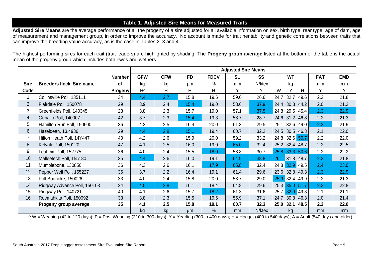#### **Table 1. Adjusted Sire Means for Measured Traits**

**Adjusted Sire Means** are the average performance of all the progeny of a sire adjusted for all available information on sex, birth type, rear type, age of dam, age of measurement and management group, in order to improve the accuracy. No account is made for trait heritability and genetic correlations between traits that can improve the breeding value accuracy, as is the case in Tables 2, 3 and 4.

The highest performing sires for each trait (trait leaders) are highlighted by shading. The **Progeny group average** listed at the bottom of the table is the actual mean of the progeny group which includes both ewes and wethers.

|                |                                  |               |              |            |           |             | <b>Adjusted Sire Means</b> |           |                      |            |            |
|----------------|----------------------------------|---------------|--------------|------------|-----------|-------------|----------------------------|-----------|----------------------|------------|------------|
|                |                                  | <b>Number</b> | <b>GFW</b>   | <b>CFW</b> | <b>FD</b> | <b>FDCV</b> | <b>SL</b>                  | <b>SS</b> | <b>WT</b>            | <b>FAT</b> | <b>EMD</b> |
| <b>Sire</b>    | <b>Breeders flock, Sire name</b> | of            | kg           | kg         | μm        | %           | mm                         | N/ktex    | kg                   | mm         | mm         |
| Code           |                                  | Progeny       | $H^{\wedge}$ | H          | H         | H           | Y                          | Y         | Y<br>W<br>H          | Y          | Y          |
| $\mathbf{1}$   | Collinsville Poll, 135111        | 34            | 4.4          | 2.7        | 15.8      | 19.6        | 59.0                       | 26.6      | 32.7<br>24.7<br>49.6 | 2.2        | 21.8       |
| $\overline{2}$ | Flairdale Poll, 150078           | 29            | 3.9          | 2.4        | 15.4      | 19.0        | 58.6                       | 37.9      | 24.4 30.3 44.2       | 2.0        | 21.2       |
| 3              | Greenfields Poll, 140345         | 23            | 3.8          | 2.3        | 15.7      | 19.0        | 57.1                       | 37.5      | 24.8 29.5 45.4       | 2.3        | 22.9       |
| $\overline{4}$ | Gunallo Poll, 140007             | 42            | 3.7          | 2.3        | 15.4      | 19.3        | 58.7                       | 28.7      | 24.6 31.2 46.8       | 2.2        | 21.3       |
| 5              | Hamilton Run Poll, 150600        | 36            | 4.2          | 2.5        | 16.4      | 20.0        | 61.3                       | 29.5      | 32.6 49.0<br>25.1    | 2.3        | 21.9       |
| $6\phantom{.}$ | Hazeldean, 13.4936               | 29            | 4.4          | 2.8        | 15.1      | 19.4        | 60.7                       | 32.2      | 24.5 30.5 46.3       | 2.1        | 22.0       |
| $\overline{7}$ | Hilton Heath Poll, 14Y447        | 40            | 4.2          | 2.6        | 15.9      | 20.0        | 59.2                       | 33.2      | 24.8 32.6 50.7       | 2.2        | 22.0       |
| 8              | Kelvale Poll, 150120             | 47            | 4.1          | 2.5        | 16.0      | 19.0        | 65.0                       | 32.4      | 25.2 32.4 48.7       | 2.2        | 22.5       |
| 9              | Leahcim Poll, 152775             | 36            | 4.0          | 2.4        | 15.5      | 18.0        | 58.8                       | 30.7      | 25.8 33.3 50.6       | 2.2        | 22.2       |
| 10             | Malleetech Poll, 155180          | 35            | 4.4          | 2.6        | 16.0      | 19.1        | 64.9                       | 38.8      | 26.1 31.8 48.7       | 2.3        | 21.8       |
| 11             | Mumblebone, 130850               | 36            | 4.3          | 2.6        | 16.1      | 17.9        | 65.8                       | 32.4      | 24.8 32.9 49.5       | 2.4        | 23.0       |
| 12             | Pepper Well Poll, 155227         | 36            | 3.7          | 2.2        | 16.4      | 19.1        | 61.4                       | 29.6      | 32.8<br>23.6<br>49.3 | 2.3        | 22.9       |
| 13             | Poll Boonoke, 150026             | 33            | 4.0          | 2.4        | 15.8      | 20.0        | 58.7                       | 29.0      | 25.9 32.4 49.9       | 2.2        | 21.3       |
| 14             | Ridgway Advance Poll, 150103     | 24            | 4.5          | 2.8        | 16.1      | 18.4        | 64.8                       | 29.6      | 25.3 35.0 51.7       | 2.3        | 22.8       |
| 15             | Ridgway Poll, 140721             | 40            | 4.1          | 2.6        | 15.7      | 18.2        | 61.3                       | 31.6      | 32.9 49.3<br>25.7    | 2.1        | 21.1       |
| 16             | Roemahkita Poll, 150092          | 33            | 3.8          | 2.3        | 15.5      | 19.6        |                            | 37.1      | 30.8<br>24.7<br>46.3 | 2.0        | 21.4       |
|                | Progeny group average            | 35            | 4.1          | 2.5        | 15.8      | 19.1        | 60.7                       | 32.3      | 25.0<br>32.1<br>48.5 | 2.2        | 22.0       |
|                |                                  |               | kg           | kg         | µm        | %           | mm                         | N/ktex    | kg                   | mm         | mm         |

 $\wedge$  W = Weaning (42 to 120 days); P = Post Weaning (210 to 300 days); Y = Yearling (300 to 400 days); H = Hogget (400 to 540 days); A = Adult (540 days and older)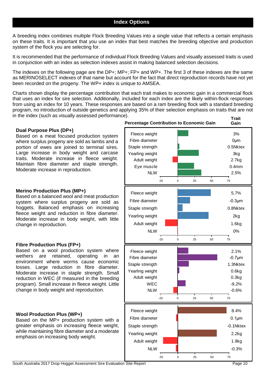A breeding index combines multiple Flock Breeding Values into a single value that reflects a certain emphasis on these traits. It is important that you use an index that best matches the breeding objective and production system of the flock you are selecting for.

It is recommended that the performance of individual Flock Breeding Values and visually assessed traits is used in conjunction with an index as selection indexes assist in making balanced selection decisions.

The indexes on the following page are the DP+; MP+; FP+ and WP+. The first 3 of these indexes are the same as MERINOSELECT indexes of that name but account for the fact that direct reproduction records have not yet been recorded on the progeny. The WP+ index is unique to AMSEA.

Charts shown display the percentage contribution that each trait makes to economic gain in a commercial flock that uses an index for sire selection. Additionally, included for each index are the likely within-flock responses from using an index for 10 years. These responses are based on a ram breeding flock with a standard breeding program, no introduction of outside genetics and applying 35% of their selection emphasis on traits that are not in the index (such as visually assessed performance).

#### **Dual Purpose Plus (DP+)**

Based on a meat focused production system where surplus progeny are sold as lambs and a portion of ewes are joined to terminal sires. Large increase in body weight and carcase traits. Moderate increase in fleece weight. Maintain fibre diameter and staple strength. Moderate increase in reproduction.

#### **Merino Production Plus (MP+)**

Based on a balanced wool and meat production system where surplus progeny are sold as hoggets. Balanced emphasis on increasing fleece weight and reduction in fibre diameter. Moderate increase in body weight, with little change in reproduction.

#### **Fibre Production Plus (FP+)**

Based on a wool production system where wethers are retained, operating in an environment where worms cause economic losses. Large reduction in fibre diameter. Moderate increase in staple strength. Small reduction in WEC (if measured in the breeding program). Small increase in fleece weight. Little change in body weight and reproduction.

#### **Wool Production Plus (WP+)**

Based on the MP+ production system with a greater emphasis on increasing fleece weight, while maintaining fibre diameter and a moderate emphasis on increasing body weight.

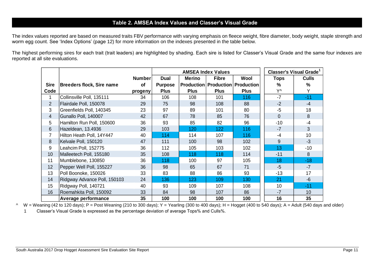## **Table 2. AMSEA Index Values and Classer's Visual Grade**

The index values reported are based on measured traits FBV performance with varying emphasis on fleece weight, fibre diameter, body weight, staple strength and worm egg count. See 'Index Options' (page 12) for more information on the indexes presented in the table below.

The highest performing sires for each trait (trait leaders) are highlighted by shading. Each sire is listed for Classer's Visual Grade and the same four indexes are reported at all site evaluations.

|                         |                                  |               |                |               | <b>AMSEA Index Values</b> |                                               | <b>Classer's Visual Grade</b> |              |
|-------------------------|----------------------------------|---------------|----------------|---------------|---------------------------|-----------------------------------------------|-------------------------------|--------------|
|                         |                                  | <b>Number</b> | Dual           | <b>Merino</b> | <b>Fibre</b>              | Wool                                          | <b>Tops</b>                   | <b>Culls</b> |
| <b>Sire</b>             | <b>Breeders flock, Sire name</b> | <b>of</b>     | <b>Purpose</b> |               |                           | <b>Production   Production   Production  </b> | ℅                             | %            |
| Code                    |                                  | progeny       | <b>Plus</b>    | <b>Plus</b>   | <b>Plus</b>               | <b>Plus</b>                                   | Y۸                            | Υ            |
|                         | Collinsville Poll, 135111        | 34            | 106            | 108           | 101                       | 116                                           | $-7$                          | $-11$        |
| $\overline{2}$          | Flairdale Poll, 150078           | 29            | 75             | 98            | 108                       | 88                                            | $-2$                          | $-4$         |
| 3                       | Greenfields Poll, 140345         | 23            | 97             | 89            | 101                       | 80                                            | $-5$                          | 18           |
| $\overline{\mathbf{4}}$ | Gunallo Poll, 140007             | 42            | 67             | 78            | 85                        | 76                                            | $\overline{0}$                | 8            |
| 5                       | Hamilton Run Poll, 150600        | 36            | 93             | 85            | 82                        | 96                                            | $-10$                         | -4           |
| 6                       | Hazeldean, 13.4936               | 29            | 103            | 120           | 122                       | 116                                           | $-7$                          | 3            |
| 7                       | Hilton Heath Poll, 14Y447        | 40            | 114            | 114           | 107                       | 116                                           | $-4$                          | 10           |
| 8                       | Kelvale Poll, 150120             | 47            | 111            | 100           | 98                        | 102                                           | 9                             | $-3$         |
| 9                       | Leahcim Poll, 152775             | 36            | 112            | 105           | 103                       | 102                                           | 13                            | $-10$        |
| 10                      | Malleetech Poll, 155180          | 35            | 108            | 118           | 118                       | 114                                           | $-11$                         | 8            |
| 11                      | Mumblebone, 130850               | 36            | 118            | 100           | 97                        | 105                                           | 18                            | $-18$        |
| 12                      | Pepper Well Poll, 155227         | 36            | 98             | 65            | 67                        | 71                                            | $-5$                          | $-7$         |
| 13                      | Poll Boonoke, 150026             | 33            | 83             | 88            | 86                        | 93                                            | $-13$                         | 17           |
| 14                      | Ridgway Advance Poll, 150103     | 24            | 136            | 123           | 109                       | 130                                           | 21                            | $-6$         |
| 15                      | Ridgway Poll, 140721             | 40            | 93             | 109           | 107                       | 108                                           | 10                            | $-11$        |
| 16                      | Roemahkita Poll, 150092          | 33            | 84             | 98            | 107                       | 86                                            | $-7$                          | 10           |
|                         | <b>Average performance</b>       | 35            | 100            | 100           | 100                       | 100                                           | 16                            | 35           |

^ W = Weaning (42 to 120 days); P = Post Weaning (210 to 300 days); Y = Yearling (300 to 400 days); H = Hogget (400 to 540 days); A = Adult (540 days and older)

1 Classer's Visual Grade is expressed as the percentage deviation of average Tops% and Culls%.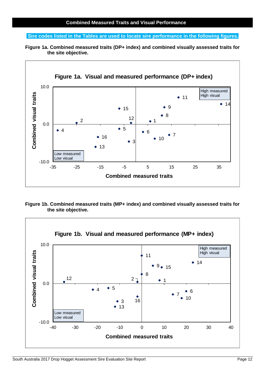#### **Sire codes listed in the Tables are used to locate sire performance in the following figures.**

**Figure 1a. Combined measured traits (DP+ index) and combined visually assessed traits for the site objective.**



**Figure 1b. Combined measured traits (MP+ index) and combined visually assessed traits for the site objective.**

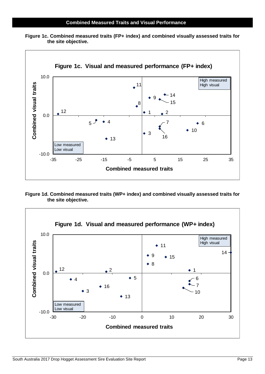

**Figure 1c. Combined measured traits (FP+ index) and combined visually assessed traits for the site objective.**

**Figure 1d. Combined measured traits (WP+ index) and combined visually assessed traits for the site objective.**

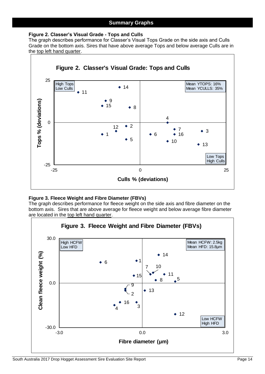#### **Figure 2. Classer's Visual Grade - Tops and Culls**

The graph describes performance for Classer's Visual Tops Grade on the side axis and Culls Grade on the bottom axis. Sires that have above average Tops and below average Culls are in the top left hand quarter.



#### **Figure 3. Fleece Weight and Fibre Diameter (FBVs)**

The graph describes performance for fleece weight on the side axis and fibre diameter on the bottom axis. Sires that are above average for fleece weight and below average fibre diameter are located in the top left hand quarter.

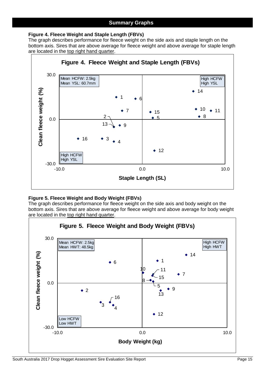#### **Figure 4. Fleece Weight and Staple Length (FBVs)**

The graph describes performance for fleece weight on the side axis and staple length on the bottom axis. Sires that are above average for fleece weight and above average for staple length are located in the top right hand quarter.



#### **Figure 5. Fleece Weight and Body Weight (FBVs)**

The graph describes performance for fleece weight on the side axis and body weight on the bottom axis. Sires that are above average for fleece weight and above average for body weight are located in the top right hand quarter.

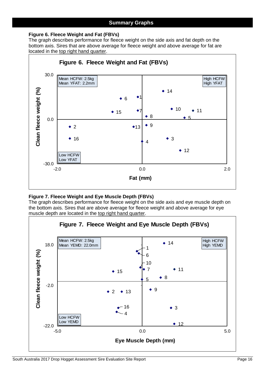#### **Figure 6. Fleece Weight and Fat (FBVs)**

The graph describes performance for fleece weight on the side axis and fat depth on the bottom axis. Sires that are above average for fleece weight and above average for fat are located in the top right hand quarter.



#### **Figure 7. Fleece Weight and Eye Muscle Depth (FBVs)**

The graph describes performance for fleece weight on the side axis and eye muscle depth on the bottom axis. Sires that are above average for fleece weight and above average for eye muscle depth are located in the top right hand quarter.

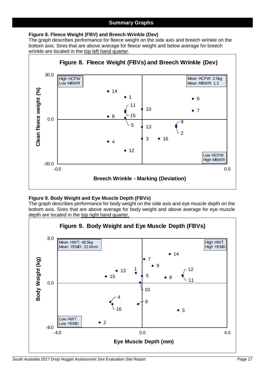#### **Figure 8. Fleece Weight (FBV) and Breech Wrinkle (Dev)**

The graph describes performance for fleece weight on the side axis and breech wrinkle on the bottom axis. Sires that are above average for fleece weight and below average for breech wrinkle are located in the top left hand quarter.



#### **Figure 9. Body Weight and Eye Muscle Depth (FBVs)**

The graph describes performance for body weight on the side axis and eye muscle depth on the bottom axis. Sires that are above average for body weight and above average for eye muscle depth are located in the top right hand quarter.

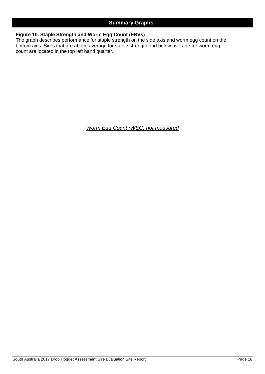#### **Figure 10. Staple Strength and Worm Egg Count (FBVs)**

The graph describes performance for staple strength on the side axis and worm egg count on the bottom axis. Sires that are above average for staple strength and below average for worm egg count are located in the top left hand quarter.

*Worm Egg Count (WEC) not measured*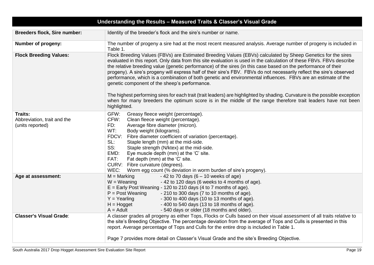|                                                            | Understanding the Results - Measured Traits & Classer's Visual Grade                                                                                                                                                                                                                                                                                                                                                                                                                                                                                                                                                                               |
|------------------------------------------------------------|----------------------------------------------------------------------------------------------------------------------------------------------------------------------------------------------------------------------------------------------------------------------------------------------------------------------------------------------------------------------------------------------------------------------------------------------------------------------------------------------------------------------------------------------------------------------------------------------------------------------------------------------------|
| <b>Breeders flock, Sire number:</b>                        | Identity of the breeder's flock and the sire's number or name.                                                                                                                                                                                                                                                                                                                                                                                                                                                                                                                                                                                     |
| Number of progeny:                                         | The number of progeny a sire had at the most recent measured analysis. Average number of progeny is included in<br>Table 1.                                                                                                                                                                                                                                                                                                                                                                                                                                                                                                                        |
| <b>Flock Breeding Values:</b>                              | Flock Breeding Values (FBVs) are Estimated Breeding Values (EBVs) calculated by Sheep Genetics for the sires<br>evaluated in this report. Only data from this site evaluation is used in the calculation of these FBVs. FBVs describe<br>the relative breeding value (genetic performance) of the sires (in this case based on the performance of their<br>progeny). A sire's progeny will express half of their sire's FBV. FBVs do not necessarily reflect the sire's observed<br>performance, which is a combination of both genetic and environmental influences. FBVs are an estimate of the<br>genetic component of the sheep's performance. |
|                                                            | The highest performing sires for each trait (trait leaders) are highlighted by shading. Curvature is the possible exception<br>when for many breeders the optimum score is in the middle of the range therefore trait leaders have not been<br>highlighted.                                                                                                                                                                                                                                                                                                                                                                                        |
| Traits:<br>Abbreviation, trait and the<br>(units reported) | GFW:<br>Greasy fleece weight (percentage).<br>CFW:<br>Clean fleece weight (percentage).<br>FD:<br>Average fibre diameter (micron).<br>WT:<br>Body weight (kilograms).<br>FDCV:<br>Fibre diameter coefficient of variation (percentage).<br>SL:<br>Staple length (mm) at the mid-side.<br>SS:<br>Staple strength (N/ktex) at the mid-side.<br>EMD:<br>Eye muscle depth (mm) at the 'C' site.<br>FAT:<br>Fat depth (mm) at the 'C' site.<br>CURV: Fibre curvature (degrees).<br>WEC:<br>Worm egg count (% deviation in worm burden of sire's progeny).                                                                                               |
| Age at assessment:                                         | $M =$ Marking<br>$-42$ to 70 days (6 – 10 weeks of age)<br>- 42 to 120 days (6 weeks to 4 months of age).<br>$W = Weaning$<br>$E =$ Early Post Weaning - 120 to 210 days (4 to 7 months of age).<br>$P = Post Weaning$<br>$-210$ to 300 days (7 to 10 months of age).<br>$Y = Yearing$<br>- 300 to 400 days (10 to 13 months of age).<br>$H = Hogget$<br>- 400 to 540 days (13 to 18 months of age).<br>$A =$ Adult<br>- 540 days or older (18 months and older).                                                                                                                                                                                  |
| <b>Classer's Visual Grade:</b>                             | A classer grades all progeny as either Tops, Flocks or Culls based on their visual assessment of all traits relative to<br>the site's Breeding Objective. The percentage deviation from the average of Tops and Culls is presented in this<br>report. Average percentage of Tops and Culls for the entire drop is included in Table 1.<br>Page 7 provides more detail on Classer's Visual Grade and the site's Breeding Objective.                                                                                                                                                                                                                 |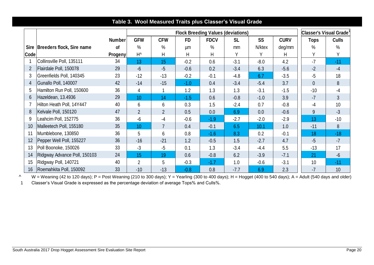|                  |                                  |               |                |                |           |             | <b>Flock Breeding Values (deviations)</b> |        |             | Classer's Visual Grade <sup>1</sup> |               |  |  |  |  |
|------------------|----------------------------------|---------------|----------------|----------------|-----------|-------------|-------------------------------------------|--------|-------------|-------------------------------------|---------------|--|--|--|--|
|                  |                                  | <b>Number</b> | <b>GFW</b>     | <b>CFW</b>     | <b>FD</b> | <b>FDCV</b> | <b>SL</b>                                 | SS     | <b>CURV</b> | <b>Tops</b>                         | <b>Culls</b>  |  |  |  |  |
|                  | Sire   Breeders flock, Sire name | οf            | $\%$           | $\%$           | μm        | $\%$        | mm                                        | N/ktex | deg/mm      | $\%$                                | $\frac{0}{0}$ |  |  |  |  |
| <b>Code</b>      |                                  | Progeny       | $H^{\wedge}$   | Н              | Η         | Н           | Υ                                         | Υ      | Н           | Y                                   | V             |  |  |  |  |
|                  | Collinsville Poll, 135111        | 34            | 13             | 15             | $-0.2$    | 0.6         | $-3.1$                                    | $-8.0$ | 4.2         | $-7$                                | $-11$         |  |  |  |  |
| $\overline{2}$   | Flairdale Poll, 150078           | 29            | $-6$           | $-5$           | $-0.6$    | 0.2         | $-3.4$                                    | 6.3    | $-5.6$      | $-2$                                | $-4$          |  |  |  |  |
|                  | Greenfields Poll, 140345         | 23            | $-12$          | $-13$          | $-0.2$    | $-0.1$      | $-4.8$                                    | 6.7    | $-3.5$      | $-5$                                | 18            |  |  |  |  |
| 4                | Gunallo Poll, 140007             | 42            | $-14$          | $-15$          | $-1.0$    | 0.4         | $-3.4$                                    | $-5.4$ | 3.7         | $\overline{0}$                      | 8             |  |  |  |  |
| 5                | Hamilton Run Poll, 150600        | 36            | 4              |                | 1.2       | 1.3         | 1.3                                       | $-3.1$ | $-1.5$      | $-10$                               | $-4$          |  |  |  |  |
| 6                | Hazeldean, 13.4936               | 29            | 10<br>14       |                | $-1.5$    | 0.6         | $-0.8$                                    | $-1.0$ | 3.9         | $-7$                                | 3             |  |  |  |  |
|                  | Hilton Heath Poll, 14Y447        | 40            | 6              | 6              | 0.3       | 1.5         | $-2.4$                                    | 0.7    | $-0.8$      | $-4$                                | 10            |  |  |  |  |
| 8                | Kelvale Poll, 150120             | 47            | $\overline{2}$ | $\overline{2}$ | 0.5       | 0.0         | 6.9                                       | 0.0    | $-0.6$      | 9                                   | $-3$          |  |  |  |  |
| 9                | Leahcim Poll, 152775             | 36            | -6             | -4             | $-0.6$    | $-1.9$      | $-2.7$                                    | $-2.0$ | $-2.9$      | 13                                  | $-10$         |  |  |  |  |
| 10 <sup>°</sup>  | Malleetech Poll, 155180          | 35            | 10             | $\overline{7}$ | 0.4       | $-0.1$      | 6.5                                       | 10.1   | 1.0         | $-11$                               | 8             |  |  |  |  |
|                  | Mumblebone, 130850               | 36            | 5              | 6              | 0.8       | $-1.6$      | 8.3                                       | 0.2    | $-0.1$      | 18                                  | $-18$         |  |  |  |  |
| 12 <sup>2</sup>  | Pepper Well Poll, 155227         | 36            | $-16$          | $-21$          | 1.2       | $-0.5$      | 1.5                                       | $-2.7$ | 4.7         | $-5$                                | $-7$          |  |  |  |  |
| 13               | Poll Boonoke, 150026             | 33            | $-3$           | $-5$           | 0.1       | 1.3         | $-3.4$                                    | $-4.4$ | 5.5         | $-13$                               | 17            |  |  |  |  |
| 14               | Ridgway Advance Poll, 150103     | 24            | 15             | 19             | 0.6       | $-0.8$      | 6.2                                       | $-3.9$ | $-7.1$      | 21                                  | $-6$          |  |  |  |  |
| 15 <sub>15</sub> | Ridgway Poll, 140721             | 40            | $\overline{2}$ | 5              | $-0.3$    | $-1.7$      | 1.0                                       | $-0.6$ | $-3.1$      | 10                                  | $-11$         |  |  |  |  |
| 16 <sup>°</sup>  | Roemahkita Poll, 150092          | 33            | $-10$          | $-13$          | $-0.8$    | 0.8         | $-7.7$                                    | 6.9    | 2.3         | $-7$                                | 10            |  |  |  |  |

## **Table 3. Wool Measured Traits plus Classer's Visual Grade**

^ W = Weaning (42 to 120 days); P = Post Weaning (210 to 300 days); Y = Yearling (300 to 400 days); H = Hogget (400 to 540 days); A = Adult (540 days and older) 1 Classer's Visual Grade is expressed as the percentage deviation of average Tops% and Culls%.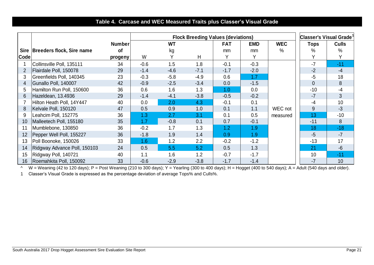## **Table 4. Carcase and WEC Measured Traits plus Classer's Visual Grade**

|      |                                  |               |        |           |        | <b>Flock Breeding Values (deviations)</b> |            |               | Classer's Visual Grade |              |  |  |  |
|------|----------------------------------|---------------|--------|-----------|--------|-------------------------------------------|------------|---------------|------------------------|--------------|--|--|--|
|      |                                  | <b>Number</b> |        | <b>WT</b> |        | <b>FAT</b>                                | <b>EMD</b> | <b>WEC</b>    | <b>Tops</b>            | <b>Culls</b> |  |  |  |
|      | Sire   Breeders flock, Sire name | <b>of</b>     |        | kg        |        | mm                                        | mm         | $\frac{0}{0}$ | $\%$                   | $\%$         |  |  |  |
| Code |                                  | progeny       | W      |           | H      | Υ                                         |            |               |                        |              |  |  |  |
|      | Collinsville Poll, 135111        | 34            | $-0.6$ | 1.5       | 1.8    | $-0.1$                                    | $-0.3$     |               | $-7$                   | $-11$        |  |  |  |
|      | Flairdale Poll, 150078           | 29            | $-1.4$ | $-4.6$    | $-7.1$ | $-1.7$                                    | $-2.0$     |               | $-2$                   | $-4$         |  |  |  |
| 3    | Greenfields Poll, 140345         | 23            | $-0.3$ | $-5.8$    | $-4.9$ | 0.6                                       | 1.7        |               | $-5$                   | 18           |  |  |  |
| 4    | Gunallo Poll, 140007             | 42            | $-0.9$ | $-2.5$    | $-3.4$ | 0.0                                       | $-1.5$     |               | $\overline{0}$         | 8            |  |  |  |
| 5    | Hamilton Run Poll, 150600        | 36            | 0.6    | 1.6       | 1.3    | 1.0                                       | 0.0        |               | $-10$                  | $-4$         |  |  |  |
| 6    | Hazeldean, 13.4936               | 29            | $-1.4$ | $-4.1$    | $-3.8$ | $-0.5$                                    | $-0.2$     |               | $-7$                   | 3            |  |  |  |
|      | Hilton Heath Poll, 14Y447        | 40            | 0.0    | 2.0       | 4.3    | $-0.1$                                    | 0.1        |               | $-4$                   | 10           |  |  |  |
| 8    | Kelvale Poll, 150120             | 47            | 0.5    | 0.9       | 1.0    | 0.1                                       | 1.1        | WEC not       | 9                      | $-3$         |  |  |  |
| 9    | Leahcim Poll, 152775             | 36            | 1.3    | 2.7       | 3.1    | 0.1                                       | 0.5        | measured      | 13                     | $-10$        |  |  |  |
| 10   | Malleetech Poll, 155180          | 35            | 1.7    | $-0.8$    | 0.1    | 0.7                                       | $-0.1$     |               | $-11$                  | 8            |  |  |  |
| 11   | Mumblebone, 130850               | 36            | $-0.2$ | 1.7       | 1.3    | 1.2                                       | 1.9        |               | 18                     | $-18$        |  |  |  |
| 12   | Pepper Well Poll, 155227         | 36            | $-1.8$ | 1.9       | 1.4    | 0.9                                       | 1.9        |               | $-5$                   | $-7$         |  |  |  |
| 13   | Poll Boonoke, 150026             | 33            | 1.6    | 1.2       | 2.2    | $-0.2$                                    | $-1.2$     |               | $-13$                  | 17           |  |  |  |
| 14   | Ridgway Advance Poll, 150103     | 24            | 0.5    | 5.5       | 5.2    | 0.5                                       | 1.3        |               | 21                     | $-6$         |  |  |  |
| 15   | Ridgway Poll, 140721             | 40            | 1.1    | 1.6       | 1.2    | $-0.7$                                    | $-1.7$     |               | 10                     | $-11$        |  |  |  |
| 16   | Roemahkita Poll, 150092          | 33            | $-0.6$ | $-2.9$    | $-3.8$ | $-1.7$                                    | $-1.4$     |               | $-7$                   | 10           |  |  |  |

^ W = Weaning (42 to 120 days); P = Post Weaning (210 to 300 days); Y = Yearling (300 to 400 days); H = Hogget (400 to 540 days); A = Adult (540 days and older).

1 Classer's Visual Grade is expressed as the percentage deviation of average Tops% and Culls%.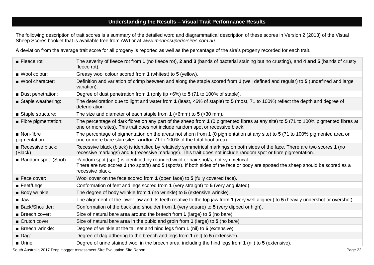## **Understanding the Results – Visual Trait Performance Results**

The following description of trait scores is a summary of the detailed word and diagrammatical description of these scores in Version 2 (2013) of the Visual Sheep Scores booklet that is available free from AWI or at *[www.merinosuperiorsires.com.au](http://www.merinosuperiorsires.com.au/)*

A deviation from the average trait score for all progeny is reported as well as the percentage of the sire's progeny recorded for each trait.

| Fleece rot:                               | The severity of fleece rot from 1 (no fleece rot), 2 and 3 (bands of bacterial staining but no crusting), and 4 and 5 (bands of crusty<br>fleece rot).                                                                                           |
|-------------------------------------------|--------------------------------------------------------------------------------------------------------------------------------------------------------------------------------------------------------------------------------------------------|
| ■ Wool colour:                            | Greasy wool colour scored from 1 (whitest) to 5 (yellow).                                                                                                                                                                                        |
| ■ Wool character:                         | Definition and variation of crimp between and along the staple scored from 1 (well defined and regular) to 5 (undefined and large<br>variation).                                                                                                 |
| Dust penetration:                         | Degree of dust penetration from 1 (only tip $<6\%$ ) to 5 (71 to 100% of staple).                                                                                                                                                                |
| Staple weathering:                        | The deterioration due to light and water from 1 (least, <6% of staple) to 5 (most, 71 to 100%) reflect the depth and degree of<br>deterioration.                                                                                                 |
| Staple structure:                         | The size and diameter of each staple from 1 ( $\leq 6$ mm) to 5 ( $>$ 30 mm).                                                                                                                                                                    |
| Fibre pigmentation:                       | The percentage of dark fibres on any part of the sheep from 1 (0 pigmented fibres at any site) to 5 (71 to 100% pigmented fibres at<br>one or more sites). This trait does not include random spot or recessive black.                           |
| $\blacksquare$ Non-fibre<br>pigmentation: | The percentage of pigmentation on the areas not shorn from 1 (0 pigmentation at any site) to 5 (71 to 100% pigmented area on<br>one or more bare skin sites, and/or 71 to 100% of the total hoof area).                                          |
| Recessive black:<br>(Black)               | Recessive black (black) is identified by relatively symmetrical markings on both sides of the face. There are two scores 1 (no<br>recessive markings) and 5 (recessive markings). This trait does not include random spot or fibre pigmentation. |
| Random spot: (Spot)                       | Random spot (spot) is identified by rounded wool or hair spot/s, not symmetrical.<br>There are two scores 1 (no spot/s) and 5 (spot/s). If both sides of the face or body are spotted the sheep should be scored as a<br>recessive black.        |
| Face cover:                               | Wool cover on the face scored from 1 (open face) to 5 (fully covered face).                                                                                                                                                                      |
| $\blacksquare$ Feet/Legs:                 | Conformation of feet and legs scored from 1 (very straight) to 5 (very angulated).                                                                                                                                                               |
| <b>Body wrinkle:</b>                      | The degree of body wrinkle from 1 (no wrinkle) to 5 (extensive wrinkle).                                                                                                                                                                         |
| $\blacksquare$ Jaw:                       | The alignment of the lower jaw and its teeth relative to the top jaw from 1 (very well aligned) to 5 (heavily undershot or overshot).                                                                                                            |
| Back/Shoulder:                            | Conformation of the back and shoulder from 1 (very square) to 5 (very dipped or high).                                                                                                                                                           |
| <b>Breech cover:</b>                      | Size of natural bare area around the breech from 1 (large) to 5 (no bare).                                                                                                                                                                       |
| Crutch cover:                             | Size of natural bare area in the pubic and groin from 1 (large) to 5 (no bare).                                                                                                                                                                  |
| $\blacksquare$ Breech wrinkle:            | Degree of wrinkle at the tail set and hind legs from 1 (nil) to 5 (extensive).                                                                                                                                                                   |
| $\blacksquare$ Dag:                       | Degree of dag adhering to the breech and legs from 1 (nil) to 5 (extensive).                                                                                                                                                                     |
| <b>Urine:</b>                             | Degree of urine stained wool in the breech area, including the hind legs from 1 (nil) to 5 (extensive).                                                                                                                                          |

South Australia 2017 Drop Hogget Assessment Sire Evaluation Site Report **Page 22** Page 22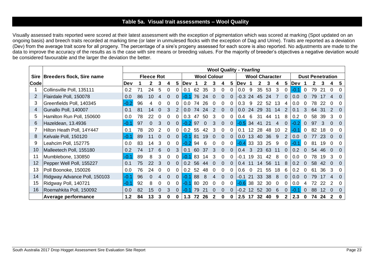## **Table 5a. Visual trait assessments – Wool Quality**

Visually assessed traits reported were scored at their latest assessment with the exception of pigmentation which was scored at marking (Spot updated on an ongoing basis) and breech traits recorded at marking time (or later in unmulesed flocks with the exception of Dag and Urine). Traits are reported as a deviation (Dev) from the average trait score for all progeny. The percentage of a sire's progeny assessed for each score is also reported. No adjustments are made to the data to improve the accuracy of the results as is the case with sire means or breeding values. For the majority of breeder's objectives a negative deviation would be considered favourable and the larger the deviation the better.

|             |                              | <b>Wool Quality - Yearling</b> |    |                   |          |          |               |                    |     |     |   |          |          |                       |    |               |     |                         |          |      |          |    |     |  |          |
|-------------|------------------------------|--------------------------------|----|-------------------|----------|----------|---------------|--------------------|-----|-----|---|----------|----------|-----------------------|----|---------------|-----|-------------------------|----------|------|----------|----|-----|--|----------|
| <b>Sire</b> | Breeders flock, Sire name    |                                |    | <b>Fleece Rot</b> |          |          |               | <b>Wool Colour</b> |     |     |   |          |          | <b>Wool Character</b> |    |               |     | <b>Dust Penetration</b> |          |      |          |    |     |  |          |
| Code        |                              | Dev                            |    |                   | 3        | 4        | 5             | ∣Dev               |     |     |   | 4        | 5        | <b>Dev</b>            |    |               |     |                         | 5        | Dev  |          |    |     |  | 5        |
|             | Collinsville Poll, 135111    | 0.2                            | 71 | 24                | 5        | 0        | 0             | 0.1                | 62  | 35  | 3 | $\Omega$ | $\Omega$ | 0.0                   | 9  | 35            | 53  | 3                       | 0        | -0.1 | $\Omega$ | 79 | -21 |  | $\Omega$ |
|             | Flairdale Poll, 150078       | 0.0                            | 86 | 10                | 4        | 0        | 0             | -0.1               | 76  | 24  |   |          | 0        | $-0.3$                | 24 | 45            | 24  |                         |          | 0.O  |          |    |     |  |          |
| 3           | Greenfields Poll, 140345     | $-0.2$                         | 96 |                   |          | O        | 0             | 0.0                | 74  | 26  |   |          | 0        | 0.3                   | 9  |               | 52  | 13                      |          | 0.0  |          |    |     |  |          |
| 4           | Gunallo Poll, 140007         | 0.1                            | 81 | 14                | 0        | 3        | $\mathcal{P}$ | 0.0 <sub>1</sub>   | 74  | 24  |   | 0        | $\Omega$ | 0.0 <sub>1</sub>      | 24 | <sup>29</sup> | -31 | 14                      |          | 0.1  |          | 64 |     |  |          |
| 5           | Hamilton Run Poll, 150600    | 0.0                            | 78 | 22                | 0        | 0        | 0             | 0.3                | 47  | 50  | 3 | 0        | $\Omega$ | 0.4                   | 6  | 31            | 44  | 11                      | 8        | 0.2  |          | 58 | 39  |  |          |
| 6           | Hazeldean, 13.4936           | $-0.1$                         | 97 |                   | 3        | $\Omega$ | 0             | $-0.2$             | 97  |     |   | 0        | 0        | $-0.5$                | 34 | 41            | 21  | 4                       | 0        | -0.2 |          | 97 |     |  |          |
|             | Hilton Heath Poll, 14Y447    | 0.1                            | 78 | 20                |          | 0        | 0             | 0.2 <sub>0</sub>   | 55  |     |   |          | 0.       | 0.1                   |    | 28            | 48  | 10                      |          | -0.  |          |    |     |  |          |
| 8           | Kelvale Poll, 150120         | -0.1                           | 89 | 11                | 0        | 0        | 0             | $-0.1$             | 81  | 19  |   | 0        | $\Omega$ | 0.0 <sub>1</sub>      | 13 | 40            | 36  | 9                       | 2        | 0.0  |          |    | 23  |  |          |
| 9           | Leahcim Poll, 152775         | 0.0                            | 83 | 14                | 3        | O        | 0             | -0.2               | .94 |     |   |          |          | $-0.4$                | 33 | 33            | 25  | 9                       |          | -0.  |          |    | 19  |  |          |
| 10          | Malleetech Poll, 155180      | 0.2                            | 74 |                   | 6        | 0        | 3             | 0.1                | 60  |     |   | 0        | 0        | 0.4                   | 3  | 23            | 63  |                         |          | 0.2  |          |    |     |  |          |
| 11          | Mumblebone, 130850           | $-0.1$                         | 89 |                   | 3        | 0        | 0             | -0.1               | 83  | 14  |   | O        |          | -0.1                  | 19 | 31            | 42  |                         |          | 0.0  |          |    |     |  |          |
| 12          | Pepper Well Poll, 155227     | 0.1                            | 75 | 22                | 3        | $\Omega$ | $\Omega$      | $0.2^{\circ}$      | 56  | 44  |   | 0        | $\Omega$ | 0.4                   |    | 14            | 56  | 11                      | 8        | 0.2  | $\Omega$ | 58 | 42  |  | $\Omega$ |
| 13          | Poll Boonoke, 150026         | 0.0                            | 76 | 24                | $\Omega$ | 0        | 0             | 0.2                | 52  | 48  |   | 0        | 0        | 0.6                   |    |               | 55  | 18                      | 6        | 0.2  |          | 61 | 36  |  | $\Omega$ |
| 14          | Ridgway Advance Poll, 150103 | $ -0.1$                        | 96 |                   |          |          | 0             | $\bullet$          | 88  |     |   | 0        | 0        | -0.1                  | 21 | 33            | 38  | 8                       | $\Omega$ | 0.0  |          |    |     |  |          |
| 15          | Ridgway Poll, 140721         | -0.1                           | 92 |                   |          |          | 0             | ۰O.                | 80  | 20  |   | 0        |          | $-0.6$                | 38 | 32            | 30  |                         |          | 0.0  |          |    |     |  |          |
| 16          | Roemahkita Poll, 150092      | 0.0                            | 82 | 15                | 0        | 3        | 0             | ٠O.                | 79  | -21 |   |          | 0        | -0.2                  |    | 52.           | 30  | 6                       | $\Omega$ | -೧   | 0        | 88 |     |  |          |
|             | <b>Average performance</b>   | 1.2                            | 84 | 13                |          |          | O.            | 1.3                |     | 26  |   |          |          | 2.5                   |    | 32            | 40  |                         |          | 2.3  |          | 74 | 24  |  | 0        |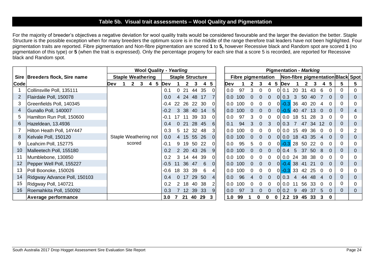## **Table 5b. Visual trait assessments – Wool Quality and Pigmentation**

For the majority of breeder's objectives a negative deviation for wool quality traits would be considered favourable and the larger the deviation the better. Staple Structure is the possible exception when for many breeders the optimum score is in the middle of the range therefore trait leaders have not been highlighted. Four pigmentation traits are reported. Fibre pigmentation and Non-fibre pigmentation are scored **1** to **5,** however Recessive black and Random spot are scored **1** (no pigmentation of this type) or **5** (when the trait is expressed). Only the percentage progeny for each sire that a score 5 is recorded, are reported for Recessive black and Random spot.

|      |                                  | <b>Wool Quality - Yearling</b> |                          |        |                 |       |     |            |           |                 |          |     | <b>Pigmentation - Marking</b> |                         |     |                  |    |          |          |       |                           |     |       |      |                 |                |                |          |                                   |
|------|----------------------------------|--------------------------------|--------------------------|--------|-----------------|-------|-----|------------|-----------|-----------------|----------|-----|-------------------------------|-------------------------|-----|------------------|----|----------|----------|-------|---------------------------|-----|-------|------|-----------------|----------------|----------------|----------|-----------------------------------|
|      | Sire   Breeders flock, Sire name |                                | <b>Staple Weathering</b> |        |                 |       |     |            |           |                 |          |     |                               | <b>Staple Structure</b> |     |                  |    |          |          |       | <b>Fibre pigmentation</b> |     |       |      |                 |                |                |          | Non-fibre pigmentation Black Spot |
| Code |                                  | Dev                            |                          |        |                 |       |     | <b>Dev</b> |           |                 |          |     | 5                             |                         | Dev |                  |    |          |          | 5     | <b>IDev</b>               |     |       |      |                 | 5              | 5              |          |                                   |
|      | Collinsville Poll, 135111        |                                |                          |        |                 |       |     | 0.1        | 0         | 21              | 44 35    |     |                               |                         | 0.0 | 97               | 3  | $\Omega$ | 0        |       | 0.1                       | 20  | 31    | 43   | 6               |                | 0              |          |                                   |
|      | Flairdale Poll, 150078           |                                |                          |        |                 |       |     | 0.0        | 4         | 24              | 48 17    |     |                               |                         | 0.0 | 100 <sup>°</sup> | 0  | 0        | 0        |       | 0 0.3                     | 3   | 50    | 40   |                 | $\Omega$       | $\overline{0}$ | $\Omega$ |                                   |
| 3    | Greenfields Poll, 140345         |                                |                          |        |                 |       |     | $-0.4$     | <b>22</b> | -26             | 22 30    |     | ΩI                            |                         | 0.0 | 100              |    |          |          |       | $0 - 0.3$                 | 36  | 40    | 20   | 4               | $\Omega$       | $\mathbf 0$    |          |                                   |
| 4    | Gunallo Poll, 140007             |                                |                          |        |                 |       |     | $-0.2$     | 3         | 38              | 40 14    |     | 5                             |                         | 0.0 | 100              |    | 0        | 0        |       | $0$ - 0.5 40              |     | 47    | 13   | $\Omega$        | 0              | $\overline{0}$ |          |                                   |
| 5    | Hamilton Run Poll, 150600        |                                |                          |        |                 |       |     | -0.1       | 17        | -11             | 39 33    |     | 01                            |                         | 0.0 | 97               | 3  | 0        | 0        |       | 0 0.0                     | 18  | -51   | -28  | 3               |                | 0              |          |                                   |
| 6    | Hazeldean, 13.4936               |                                |                          |        |                 |       |     | 0.4        |           | 0 <sub>21</sub> | 28 45    |     | 6                             |                         | 0.1 | 94               | 3  | $\Omega$ | 3        |       | 010.3                     | 7   | 47    | -34  | 12 <sup>1</sup> | - 0            | $\overline{0}$ | $\theta$ |                                   |
|      | Hilton Heath Poll, 14Y447        |                                |                          |        |                 |       |     | 0.3        | 5         | 12              | 32 48    |     | 31                            |                         | 0.0 | 100              | 0  | 0        | 0        |       | 01 0.0                    | 15  | 49    | -36  | 0               |                | $\mathbf 0$    |          |                                   |
| 8    | Kelvale Poll, 150120             | Staple Weathering not          |                          |        |                 |       | 0.0 | 4          | 15        | 55 26           |          | ΟI  |                               | 0.0 <sub>1</sub>        | 100 |                  |    |          |          | 0 0.0 | 18                        | -43 | -35   | $-4$ |                 | $\overline{0}$ |                |          |                                   |
| 9    | Leahcim Poll, 152775             |                                |                          | scored |                 |       |     | -0.1       | 9         | 19              | 50       | -22 | ΩI                            |                         | 0.0 | 95               | 5. | 0        | 0        |       | $0 - 0.3 28$              |     | 50    | 22   | $\Omega$        |                | 0              |          |                                   |
| 10   | Malleetech Poll, 155180          |                                |                          |        |                 |       |     | 0.2        |           | 2 20            | 43       | -26 | 9                             |                         | 0.0 | 100              |    |          |          |       | 010.4                     | 5   | 37    | 50   | 8               |                | $\overline{0}$ |          |                                   |
| 11   | Mumblebone, 130850               |                                |                          |        |                 |       |     | 0.2        | 3         | 14              | 44 39    |     | 01                            |                         | 0.0 | 100              |    |          |          |       | 0 0.0                     | 24  | 38    | -38  | 0               |                | $\mathbf 0$    |          |                                   |
| 12   | Pepper Well Poll, 155227         |                                |                          |        |                 |       |     | -0.5       | 11        | 36              | 47       | 6   | $\Omega$                      |                         | 0.0 | 100              |    | 0        | $\Omega$ |       | $ 0 -0.4 $                | 38  | 41    | 21   | $\Omega$        | $\Omega$       | $\overline{0}$ | $\Omega$ |                                   |
| 13   | Poll Boonoke, 150026             |                                |                          |        |                 |       |     | $-0.6$     | 18        | 33              | 39       | 6   | 4                             |                         | 0.0 | 100              | 0  | 0        | 0        |       | $0 -0.3 $                 | 33  | 42    | 25   | $\Omega$        |                | $\mathbf 0$    |          |                                   |
| 14   | Ridgway Advance Poll, 150103     |                                |                          |        |                 |       |     |            | $\Omega$  | 17              | 29 50    |     | $\overline{4}$                |                         | 0.0 | 96               | 4  | 0        | $\Omega$ |       | 0 0.3                     |     | 44    | 48   | 4               | $\Omega$       | $\mathbf{0}$   | $\Omega$ |                                   |
| 15   | Ridgway Poll, 140721             |                                |                          |        |                 |       |     |            |           | 18              | 40       | -38 | 2                             |                         | 0.0 | 100              | 0  | 0        | 0        |       | 010.0                     |     | 56    | 33   | 0               | O              | 0              |          |                                   |
| 16   | Roemahkita Poll, 150092          |                                | 0.3                      |        | 12 <sup>2</sup> | 39 33 |     |            |           | 0.0             | 97       |     |                               |                         |     | 0.2              |    | 49       | 37       |       |                           | 0   | 0     |      |                 |                |                |          |                                   |
|      | <b>Average performance</b>       |                                |                          |        |                 |       |     | 3.0        |           |                 | 21 40 29 |     |                               |                         | 1.0 | 99               |    | 0        | 0        | 0     | $2.2$ 19                  |     | 45 33 |      | 3               | 0              |                |          |                                   |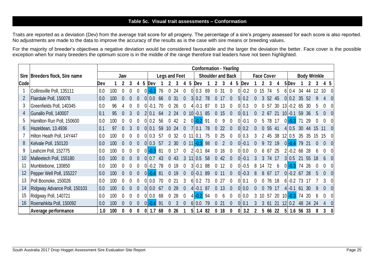#### **Table 5c. Visual trait assessments – Conformation**

Traits are reported as a deviation (Dev) from the average trait score for all progeny. The percentage of a sire's progeny assessed for each score is also reported. No adjustments are made to the data to improve the accuracy of the results as is the case with sire means or breeding values.

For the majority of breeder's objectives a negative deviation would be considered favourable and the larger the deviation the better. Face cover is the possible exception when for many breeders the optimum score is in the middle of the range therefore trait leaders have not been highlighted.

|             |                                  | <b>Conformation - Yearling</b> |     |     |  |   |                |        |                      |          |     |          |    |           |                          |          |    |                  |   |              |   |    |                   |     |                     |     |     |                     |    |  |
|-------------|----------------------------------|--------------------------------|-----|-----|--|---|----------------|--------|----------------------|----------|-----|----------|----|-----------|--------------------------|----------|----|------------------|---|--------------|---|----|-------------------|-----|---------------------|-----|-----|---------------------|----|--|
|             | Sire   Breeders flock, Sire name |                                |     | Jaw |  |   |                |        | <b>Legs and Feet</b> |          |     |          |    |           | <b>Shoulder and Back</b> |          |    |                  |   |              |   |    | <b>Face Cover</b> |     |                     |     |     | <b>Body Wrinkle</b> |    |  |
| <b>Code</b> |                                  | Dev                            |     |     |  | 4 | 5              | Dev    |                      |          |     |          | 5  | Dev       |                          |          |    |                  | 5 | Dev          |   |    |                   |     | 5Dev                |     |     |                     | 45 |  |
|             | Collinsville Poll, 135111        | 0.0                            | 100 |     |  |   | $\Omega$       | $-0.3$ | 76                   |          | 24  | $\Omega$ |    | $0\,0.3$  | 69                       |          | 31 | $\Omega$         |   | $-0.2$       | 0 | 15 | 74                | 5   | 6 0.4               | 34  | 44  |                     | 10 |  |
|             | Flairdale Poll, 150078           | 0.0                            | 100 |     |  |   |                | 0.0    | 66                   |          | 31  |          | 3  | 0.2       | 78                       |          | 17 |                  |   | 5 0.2        |   |    | 52                | 45  | 0 <sub>1</sub> 0.2  | 35  | .52 |                     |    |  |
| 3           | Greenfields Poll, 140345         | 0.0                            | 96  |     |  |   |                |        |                      |          | 26  | 0        |    | $-0.1$    | -87                      |          | 13 |                  |   | $0\vert 0.3$ |   |    | 57                | 30  | $13 - 0.2$          | 65  | 30  |                     |    |  |
| 4           | Gunallo Poll, 140007             | 0.1                            | 95  |     |  |   |                |        | 64                   |          | 24  |          | 10 | $-0.1$    | 85                       |          | 15 | 0                |   | 0 0.1        |   |    | 67                | -21 | $-0.1$              | 59  |     |                     |    |  |
| 5           | Hamilton Run Poll, 150600        | 0.0                            | 100 |     |  |   | $\Omega$       | 0.2    | 56                   |          | -42 | 2        |    | $0 - 0.2$ | -91                      |          | 9  |                  |   | $0 - 0.1$    | 0 | 5. | 78                | 17  | $0 - 0.3$           |     | 29  |                     |    |  |
| 6           | Hazeldean, 13.4936               | 0.1                            |     |     |  |   |                |        | 59                   | 10       | 24  |          |    | 0.1       | 78                       |          | 22 |                  |   | $0\vert 0.2$ |   |    | 55                | -41 | 410.5               | 30  |     |                     |    |  |
|             | Hilton Heath Poll, 14Y447        | 0.0                            | 100 |     |  |   |                | 0.3    | -57                  |          | 32  |          |    | 0.1       | 75                       |          | 25 |                  |   | $0\,0.3$     | 3 |    | 45                | 38  | 12 0.5              | 35  | 35  |                     |    |  |
| 8           | Kelvale Poll, 150120             | 0.0                            | 100 |     |  |   |                |        | .57                  |          | 30  | $\Omega$ |    |           | 98                       |          |    |                  |   | $0 - 0.1$    |   |    | 72                | 19  | $[0 -0.4]$          | 79  |     |                     |    |  |
| 9           | Leahcim Poll, 152775             | 0.0                            | 100 |     |  |   |                | $-0.3$ | -81                  |          |     |          |    | $-0.1$    | 84                       |          | 16 | 0                |   | 0 0.0        |   |    | 67                | 25  | $2 - 0.2$           | 66  | 28  |                     |    |  |
| 10          | Malleetech Poll, 155180          | 0.0                            | 100 |     |  |   |                |        | 43                   |          | 43  | 3        |    | 0.5       | 58                       |          | 42 |                  |   | $0 - 0.1$    |   |    | 74                | 17  | 3 0.5               | 21  | 55  | 18                  |    |  |
| 11          | Mumblebone, 130850               | 0.0                            | 100 |     |  |   |                | $-0.2$ | 78                   |          | 19  |          | 3  | $-0.1$    | 88                       |          | 12 |                  |   | $0 - 0.5$    | 8 |    | 72                | 6   | $0 - 0.3$           | 74  | 26  |                     |    |  |
| 12          | Pepper Well Poll, 155227         | 0.0                            | 100 |     |  |   | $\overline{0}$ | -04    | 81                   | $\Omega$ | 19  | $\theta$ |    | $0 - 0.1$ | 89                       | $\Omega$ | 11 | $\Omega$         |   | $0 - 0.3$    | 8 | 8  | 67                | 17  | $0 - 0.2$           | 67  | 28  |                     |    |  |
| 13          | Poll Boonoke, 150026             | 0.0                            | 100 |     |  |   |                | . N V  | 70                   |          | 21  | 3        | 6  | 0.2       | 73                       |          | 27 | 0                |   | 010.1        |   |    | 76                | 18  | $6 - 0.2$           | 73  |     |                     |    |  |
| 14          | Ridgway Advance Poll, 150103     | 0.0                            | 100 |     |  |   |                | 0.0    | -67                  |          | 29  | $\Omega$ | 4  | $-0.1$    | -87                      |          | 13 |                  |   | 0 0.0        |   |    | 79                | 17  | $4 - 0.1$           | -61 |     |                     |    |  |
| 15          | Ridgway Poll, 140721             | 0.0                            | 100 |     |  |   |                | 0.0    | 68                   |          | 28  |          |    | -0.2      | -94                      |          |    |                  |   | 0 0.0        |   |    | 57                |     | $20 \t10 \cdot 0.3$ | 74  |     |                     |    |  |
| 16          | Roemahkita Poll, 150092          | 0.0                            | 100 |     |  |   |                |        | -91                  |          |     |          |    | $6 0.0$   | 79                       |          | 21 | $\left( \right)$ |   | 010.1        |   |    | -61               | -21 | 0.2                 | 48  |     |                     |    |  |
|             | Average performance              | 1.0                            | 100 |     |  |   |                |        | 68                   |          | 26  |          | 51 | 1.4       | 82                       |          | 18 |                  |   | 3.2          |   |    | 66                | 22  | 1.6                 | 56  | 33  |                     |    |  |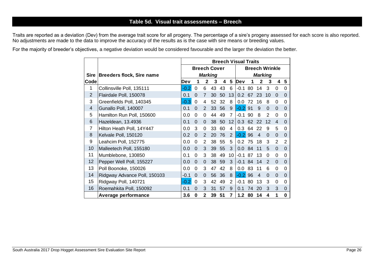## **Table 5d. Visual trait assessments – Breech**

Traits are reported as a deviation (Dev) from the average trait score for all progeny. The percentage of a sire's progeny assessed for each score is also reported. No adjustments are made to the data to improve the accuracy of the results as is the case with sire means or breeding values.

For the majority of breeder's objectives, a negative deviation would be considered favourable and the larger the deviation the better.

|                |                                  | <b>Breech Visual Traits</b> |             |                |                     |    |                       |        |    |                |               |                |                |  |  |
|----------------|----------------------------------|-----------------------------|-------------|----------------|---------------------|----|-----------------------|--------|----|----------------|---------------|----------------|----------------|--|--|
|                |                                  |                             |             |                | <b>Breech Cover</b> |    | <b>Breech Wrinkle</b> |        |    |                |               |                |                |  |  |
| Sire           | <b>Breeders flock, Sire name</b> |                             |             |                | <b>Marking</b>      |    | <b>Marking</b>        |        |    |                |               |                |                |  |  |
| Code           |                                  | Dev                         |             | $\mathbf{2}$   | 3                   | 4  | 5                     | Dev    |    | $\mathbf{2}$   | 3             | 4              | 5              |  |  |
| 1              | Collinsville Poll, 135111        | $-0.2$                      | $\mathbf 0$ | 6              | 43                  | 43 | 6                     | $-0.1$ | 80 | 14             | 3             | 0              | $\mathbf 0$    |  |  |
| $\overline{2}$ | Flairdale Poll, 150078           | 0.1                         | $\Omega$    | $\overline{7}$ | 30                  | 50 | 13                    | 0.2    | 67 | 23             | 10            | $\Omega$       | $\overline{0}$ |  |  |
| 3              | Greenfields Poll, 140345         | $-0.3$                      | 0           | 4              | 52                  | 32 | 8                     | 0.0    | 72 | 16             | 8             | $\Omega$       | $\Omega$       |  |  |
| 4              | Gunallo Poll, 140007             | 0.1                         | $\Omega$    | $\overline{2}$ | 33                  | 56 | 9                     | $-0.2$ | 91 | 9              | $\Omega$      | $\overline{0}$ | $\Omega$       |  |  |
| 5              | Hamilton Run Poll, 150600        | 0.0                         | $\Omega$    | 0              | 44                  | 49 | 7                     | $-0.1$ | 90 | 8              | $\mathcal{P}$ | $\mathbf 0$    | $\Omega$       |  |  |
| 6              | Hazeldean, 13.4936               | 0.1                         | $\Omega$    | $\Omega$       | 38                  | 50 | 12                    | 0.3    | 62 | 22             | 12            | $\overline{4}$ | $\overline{0}$ |  |  |
| 7              | Hilton Heath Poll, 14Y447        | 0.0                         | 3           | 0              | 33                  | 60 | 4                     | 0.3    | 64 | 22             | 9             | 5              | $\mathbf 0$    |  |  |
| 8              | Kelvale Poll, 150120             | 0.2                         | $\Omega$    | 2              | 20                  | 76 | 2                     | $-0.2$ | 96 | 4              | $\Omega$      | $\Omega$       | $\Omega$       |  |  |
| 9              | Leahcim Poll, 152775             | 0.0                         | $\Omega$    | 2              | 38                  | 55 | 5                     | 0.2    | 75 | 18             | 3             | 2              | $\overline{2}$ |  |  |
| 10             | Malleetech Poll, 155180          | 0.0                         | $\Omega$    | 3              | 39                  | 55 | 3                     | 0.0    | 84 | 11             | 5             | $\overline{0}$ | $\Omega$       |  |  |
| 11             | Mumblebone, 130850               | 0.1                         | $\Omega$    | 3              | 38                  | 49 | 10                    | $-0.1$ | 87 | 13             | 0             | 0              | $\Omega$       |  |  |
| 12             | Pepper Well Poll, 155227         | 0.0                         | $\Omega$    | $\Omega$       | 38                  | 59 | 3                     | $-0.1$ | 84 | 14             | 2             | $\Omega$       | $\Omega$       |  |  |
| 13             | Poll Boonoke, 150026             | 0.0                         | 0           | 3              | 47                  | 42 | 8                     | 0.0    | 83 | 11             | 6             | $\Omega$       | $\Omega$       |  |  |
| 14             | Ridgway Advance Poll, 150103     | -0.1                        | $\Omega$    | $\mathbf 0$    | 56                  | 36 | 8                     | $-0.2$ | 96 | $\overline{4}$ | $\Omega$      | $\overline{0}$ | $\Omega$       |  |  |
| 15             | Ridgway Poll, 140721             | $-0.2$                      | $\Omega$    | 3              | 42                  | 49 | 2                     | $-0.1$ | 80 | 13             | 3             | 0              | $\mathbf 0$    |  |  |
| 16             | Roemahkita Poll, 150092          | 0.1                         | $\Omega$    | 3              | 31                  | 57 | 9                     | 0.1    | 74 | 20             | 3             | 3              | $\mathbf 0$    |  |  |
|                | <b>Average performance</b>       | 3.6                         | 0           | $\overline{2}$ | 39                  | 51 | $\overline{7}$        | 1.2    | 80 | 14             | 4             | 1              | $\bf{0}$       |  |  |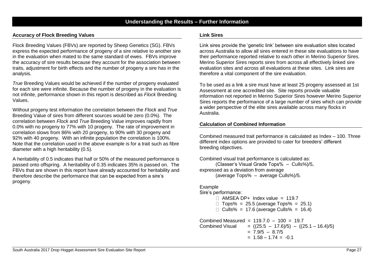#### **Understanding the Results – Further Information**

#### **Accuracy of Flock Breeding Values**

Flock Breeding Values (FBVs) are reported by Sheep Genetics (SG). FBVs express the expected performance of progeny of a sire relative to another sire in the evaluation when mated to the same standard of ewes. FBVs improve the accuracy of sire results because they account for the association between traits, adjustment for birth effects and the number of progeny a sire has in the analysis.

*True* Breeding Values would be achieved if the number of progeny evaluated for each sire were infinite. Because the number of progeny in the evaluation is not infinite, performance shown in this report is described as *Flock* Breeding Values.

Without progeny test information the correlation between the *Flock* and *True* Breeding Value of sires from different sources would be zero (0.0%). The correlation between *Flock* and *True* Breeding Value improves rapidly from 0.0% with no progeny to 77% with 10 progeny. The rate of improvement in correlation slows from 86% with 20 progeny, to 90% with 30 progeny and 92% with 40 progeny. With an infinite population the correlation is 100%. Note that the correlation used in the above example is for a trait such as fibre diameter with a high heritability (0.5).

A heritability of 0.5 indicates that half or 50% of the measured performance is passed onto offspring. A heritability of 0.35 indicates 35% is passed on. The FBVs that are shown in this report have already accounted for heritability and therefore describe the performance that can be expected from a sire's progeny.

#### **Link Sires**

Link sires provide the 'genetic link' between sire evaluation sites located across Australia to allow all sires entered in these site evaluations to have their performance reported relative to each other in Merino Superior Sires. Merino Superior Sires reports sires from across all effectively linked sire evaluation sites and across all evaluations at these sites. Link sires are therefore a vital component of the sire evaluation.

To be used as a link a sire must have at least 25 progeny assessed at 1st Assessment at one accredited site. Site reports provide valuable information not reported in Merino Superior Sires however Merino Superior Sires reports the performance of a large number of sires which can provide a wider perspective of the elite sires available across many flocks in Australia.

#### **Calculation of Combined Information**

Combined measured trait performance is calculated as Index – 100. Three different index options are provided to cater for breeders' different breeding objectives.

```
Combined visual trait performance is calculated as:
      (Classer's Visual Grade Tops% – Culls%)/5,
expressed as a deviation from average
      (average Tops% – average Culls%)/5.
```
#### Example

#### Sire's performance:

- $\Box$  AMSEA DP+ Index value = 119.7
- $\Box$  Tops% = 25.5 (average Tops% = 25.1)
- $\Box$  Culls% = 17.6 (average Culls% = 16.4)

Combined Measured =  $119.7.0 - 100 = 19.7$ Combined Visual =  $((25.5 - 17.6)/5) - ((25.1 - 16.4)/5)$  $= 7.9/5 - 8.7/5$  $= 1.58 - 1.74 = -0.1$